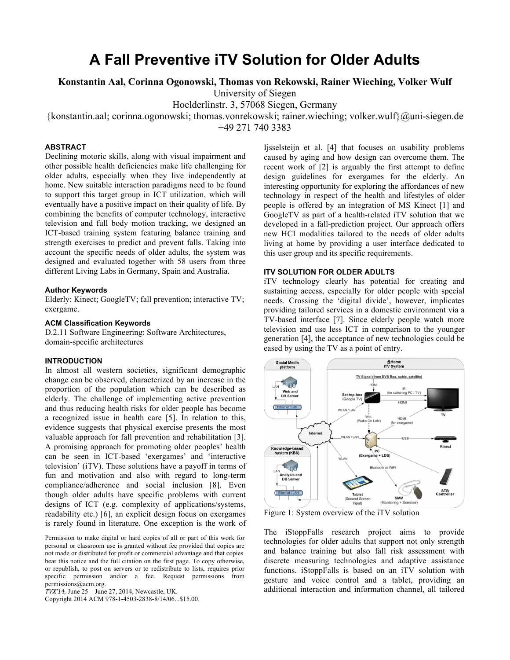# **A Fall Preventive iTV Solution for Older Adults**

# **Konstantin Aal, Corinna Ogonowski, Thomas von Rekowski, Rainer Wieching, Volker Wulf**

University of Siegen

Hoelderlinstr. 3, 57068 Siegen, Germany

{konstantin.aal; corinna.ogonowski; thomas.vonrekowski; rainer.wieching; volker.wulf}@uni-siegen.de

+49 271 740 3383

# **ABSTRACT**

Declining motoric skills, along with visual impairment and other possible health deficiencies make life challenging for older adults, especially when they live independently at home. New suitable interaction paradigms need to be found to support this target group in ICT utilization, which will eventually have a positive impact on their quality of life. By combining the benefits of computer technology, interactive television and full body motion tracking, we designed an ICT-based training system featuring balance training and strength exercises to predict and prevent falls. Taking into account the specific needs of older adults, the system was designed and evaluated together with 58 users from three different Living Labs in Germany, Spain and Australia.

#### **Author Keywords**

Elderly; Kinect; GoogleTV; fall prevention; interactive TV; exergame.

## **ACM Classification Keywords**

D.2.11 Software Engineering: Software Architectures, domain-specific architectures

# **INTRODUCTION**

In almost all western societies, significant demographic change can be observed, characterized by an increase in the proportion of the population which can be described as elderly. The challenge of implementing active prevention and thus reducing health risks for older people has become a recognized issue in health care [5]. In relation to this, evidence suggests that physical exercise presents the most valuable approach for fall prevention and rehabilitation [3]. A promising approach for promoting older peoples' health can be seen in ICT-based 'exergames' and 'interactive television' (iTV). These solutions have a payoff in terms of fun and motivation and also with regard to long-term compliance/adherence and social inclusion [8]. Even though older adults have specific problems with current designs of ICT (e.g. complexity of applications/systems, readability etc.) [6], an explicit design focus on exergames is rarely found in literature. One exception is the work of

Permission to make digital or hard copies of all or part of this work for personal or classroom use is granted without fee provided that copies are not made or distributed for profit or commercial advantage and that copies bear this notice and the full citation on the first page. To copy otherwise, or republish, to post on servers or to redistribute to lists, requires prior specific permission and/or a fee. Request permissions from permissions@acm.org.

Copyright 2014 ACM 978-1-4503-2838-8/14/06...\$15.00.

Ijsselsteijn et al. [4] that focuses on usability problems caused by aging and how design can overcome them. The recent work of [2] is arguably the first attempt to define design guidelines for exergames for the elderly. An interesting opportunity for exploring the affordances of new technology in respect of the health and lifestyles of older people is offered by an integration of MS Kinect [1] and GoogleTV as part of a health-related iTV solution that we developed in a fall-prediction project. Our approach offers new HCI modalities tailored to the needs of older adults living at home by providing a user interface dedicated to this user group and its specific requirements.

## **ITV SOLUTION FOR OLDER ADULTS**

iTV technology clearly has potential for creating and sustaining access, especially for older people with special needs. Crossing the 'digital divide', however, implicates providing tailored services in a domestic environment via a TV-based interface [7]. Since elderly people watch more television and use less ICT in comparison to the younger generation [4], the acceptance of new technologies could be eased by using the TV as a point of entry.



Figure 1: System overview of the iTV solution

The iStoppFalls research project aims to provide technologies for older adults that support not only strength and balance training but also fall risk assessment with discrete measuring technologies and adaptive assistance functions. iStoppFalls is based on an iTV solution with gesture and voice control and a tablet, providing an additional interaction and information channel, all tailored

*TVX'14,* June 25 – June 27, 2014, Newcastle, UK.